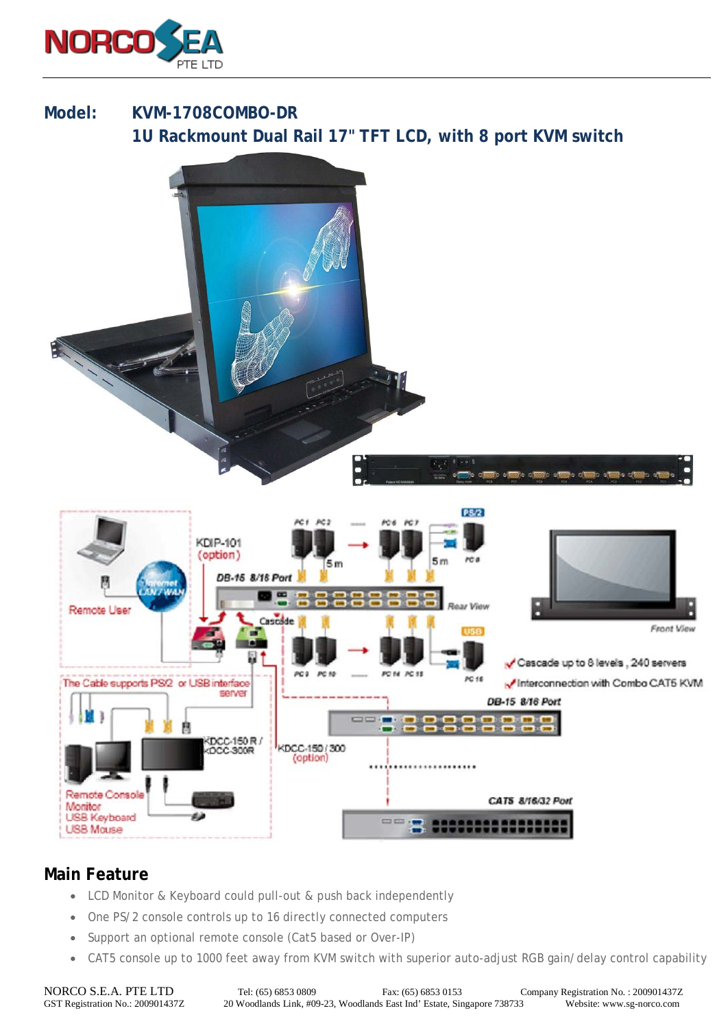

## **Model: KVM-1708COMBO-DR 1U Rackmount Dual Rail 17" TFT LCD, with 8 port KVM switch**



## **Main Feature**

- LCD Monitor & Keyboard could pull-out & push back independently
- One PS/2 console controls up to 16 directly connected computers
- Support an optional remote console (Cat5 based or Over-IP)
- CAT5 console up to 1000 feet away from KVM switch with superior auto-adjust RGB gain/delay control capability

| NORCO S.E.A. PTE LTD             | Tel: (65) 6853 0809                                                     | Fax: (65) 6853 0153 | Company Registration No.: 200901437Z |
|----------------------------------|-------------------------------------------------------------------------|---------------------|--------------------------------------|
| GST Registration No.: 200901437Z | 20 Woodlands Link, #09-23, Woodlands East Ind' Estate, Singapore 738733 |                     | Website: www.sg-norco.com            |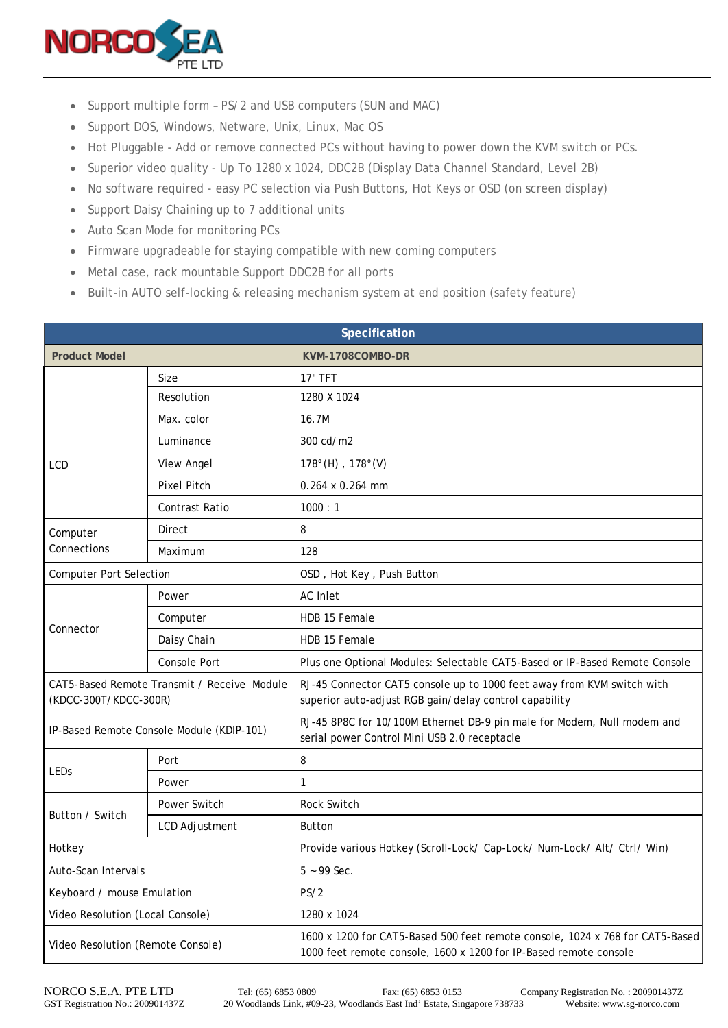

- Support multiple form PS/2 and USB computers (SUN and MAC)
- Support DOS, Windows, Netware, Unix, Linux, Mac OS
- Hot Pluggable Add or remove connected PCs without having to power down the KVM switch or PCs.
- Superior video quality Up To 1280 x 1024, DDC2B (Display Data Channel Standard, Level 2B)
- No software required easy PC selection via Push Buttons, Hot Keys or OSD (on screen display)
- Support Daisy Chaining up to 7 additional units
- Auto Scan Mode for monitoring PCs
- Firmware upgradeable for staying compatible with new coming computers
- Metal case, rack mountable Support DDC2B for all ports
- Built-in AUTO self-locking & releasing mechanism system at end position (safety feature)

| Specification                                                        |                     |                                                                                                                                                    |  |  |
|----------------------------------------------------------------------|---------------------|----------------------------------------------------------------------------------------------------------------------------------------------------|--|--|
| <b>Product Model</b>                                                 |                     | KVM-1708COMBO-DR                                                                                                                                   |  |  |
|                                                                      | Size                | 17" TFT                                                                                                                                            |  |  |
| LCD                                                                  | Resolution          | 1280 X 1024                                                                                                                                        |  |  |
|                                                                      | Max. color          | 16.7M                                                                                                                                              |  |  |
|                                                                      | Luminance           | 300 cd/m2                                                                                                                                          |  |  |
|                                                                      | <b>View Angel</b>   | $178^{\circ}$ (H), $178^{\circ}$ (V)                                                                                                               |  |  |
|                                                                      | <b>Pixel Pitch</b>  | 0.264 x 0.264 mm                                                                                                                                   |  |  |
|                                                                      | Contrast Ratio      | 1000:1                                                                                                                                             |  |  |
| Computer<br>Connections                                              | Direct              | 8                                                                                                                                                  |  |  |
|                                                                      | Maximum             | 128                                                                                                                                                |  |  |
| <b>Computer Port Selection</b>                                       |                     | OSD, Hot Key, Push Button                                                                                                                          |  |  |
| Connector                                                            | Power               | AC Inlet                                                                                                                                           |  |  |
|                                                                      | Computer            | HDB 15 Female                                                                                                                                      |  |  |
|                                                                      | Daisy Chain         | HDB 15 Female                                                                                                                                      |  |  |
|                                                                      | <b>Console Port</b> | Plus one Optional Modules: Selectable CAT5-Based or IP-Based Remote Console                                                                        |  |  |
| CAT5-Based Remote Transmit / Receive Module<br>(KDCC-300T/KDCC-300R) |                     | RJ-45 Connector CAT5 console up to 1000 feet away from KVM switch with<br>superior auto-adjust RGB gain/delay control capability                   |  |  |
| IP-Based Remote Console Module (KDIP-101)                            |                     | RJ-45 8P8C for 10/100M Ethernet DB-9 pin male for Modem, Null modem and<br>serial power Control Mini USB 2.0 receptacle                            |  |  |
| LEDs                                                                 | Port                | 8                                                                                                                                                  |  |  |
|                                                                      | Power               | 1                                                                                                                                                  |  |  |
| Button / Switch                                                      | Power Switch        | Rock Switch                                                                                                                                        |  |  |
|                                                                      | LCD Adjustment      | <b>Button</b>                                                                                                                                      |  |  |
| Hotkey                                                               |                     | Provide various Hotkey (Scroll-Lock/ Cap-Lock/ Num-Lock/ Alt/ Ctrl/ Win)                                                                           |  |  |
| Auto-Scan Intervals                                                  |                     | $5 - 99$ Sec.                                                                                                                                      |  |  |
| Keyboard / mouse Emulation                                           |                     | PS/2                                                                                                                                               |  |  |
| Video Resolution (Local Console)                                     |                     | 1280 x 1024                                                                                                                                        |  |  |
| Video Resolution (Remote Console)                                    |                     | 1600 x 1200 for CAT5-Based 500 feet remote console, 1024 x 768 for CAT5-Based<br>1000 feet remote console, 1600 x 1200 for IP-Based remote console |  |  |